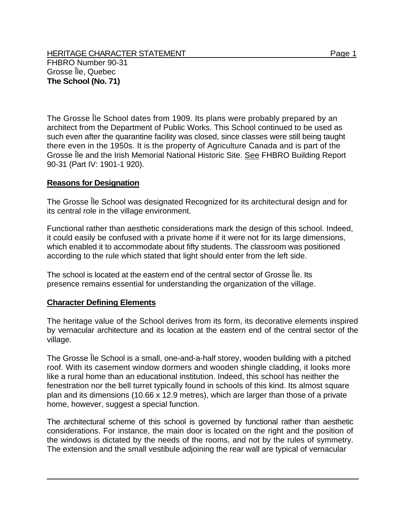HERITAGE CHARACTER STATEMENT FRIELD FOR A STATEMENT AND RAGE 1 FHBRO Number 90-31 Grosse Île, Quebec **The School (No. 71)** 

The Grosse Île School dates from 1909. Its plans were probably prepared by an architect from the Department of Public Works. This School continued to be used as such even after the quarantine facility was closed, since classes were still being taught there even in the 1950s. It is the property of Agriculture Canada and is part of the Grosse Île and the Irish Memorial National Historic Site. See FHBRO Building Report 90-31 (Part IV: 1901-1 920).

## **Reasons for Designation**

The Grosse Île School was designated Recognized for its architectural design and for its central role in the village environment.

Functional rather than aesthetic considerations mark the design of this school. Indeed, it could easily be confused with a private home if it were not for its large dimensions, which enabled it to accommodate about fifty students. The classroom was positioned according to the rule which stated that light should enter from the left side.

The school is located at the eastern end of the central sector of Grosse Île. Its presence remains essential for understanding the organization of the village.

## **Character Defining Elements**

The heritage value of the School derives from its form, its decorative elements inspired by vernacular architecture and its location at the eastern end of the central sector of the village.

The Grosse Île School is a small, one-and-a-half storey, wooden building with a pitched roof. With its casement window dormers and wooden shingle cladding, it looks more like a rural home than an educational institution. Indeed, this school has neither the fenestration nor the bell turret typically found in schools of this kind. Its almost square plan and its dimensions (10.66 x 12.9 metres), which are larger than those of a private home, however, suggest a special function.

The architectural scheme of this school is governed by functional rather than aesthetic considerations. For instance, the main door is located on the right and the position of the windows is dictated by the needs of the rooms, and not by the rules of symmetry. The extension and the small vestibule adjoining the rear wall are typical of vernacular